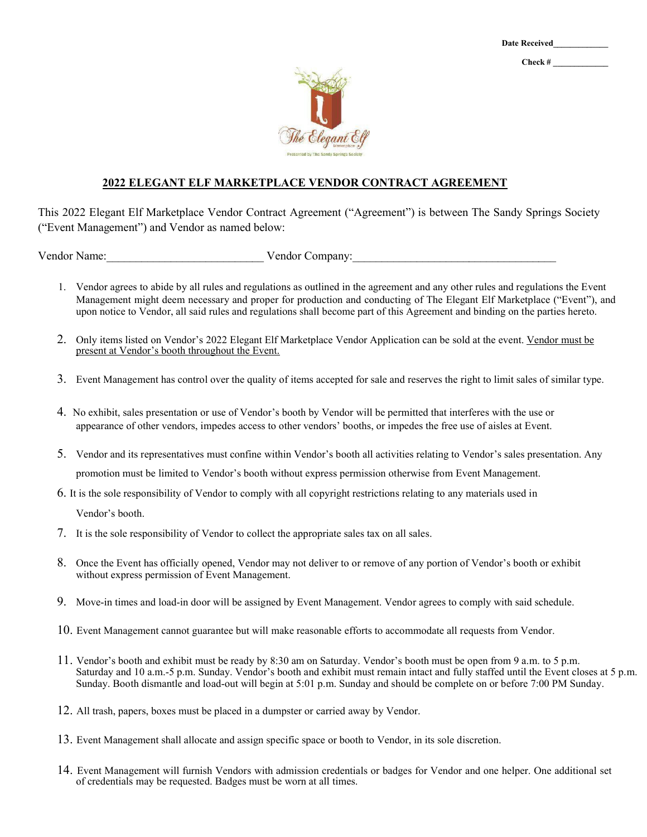**Check # \_\_\_\_\_\_\_\_\_\_\_\_\_**



## **2022 ELEGANT ELF MARKETPLACE VENDOR CONTRACT AGREEMENT**

This 2022 Elegant Elf Marketplace Vendor Contract Agreement ("Agreement") is between The Sandy Springs Society ("Event Management") and Vendor as named below:

Vendor Name:\_\_\_\_\_\_\_\_\_\_\_\_\_\_\_\_\_\_\_\_\_\_\_\_\_\_\_ Vendor Company:\_\_\_\_\_\_\_\_\_\_\_\_\_\_\_\_\_\_\_\_\_\_\_\_\_\_\_\_\_\_\_\_\_\_\_

- 1. Vendor agrees to abide by all rules and regulations as outlined in the agreement and any other rules and regulations the Event Management might deem necessary and proper for production and conducting of The Elegant Elf Marketplace ("Event"), and upon notice to Vendor, all said rules and regulations shall become part of this Agreement and binding on the parties hereto.
- 2. Only items listed on Vendor's 2022 Elegant Elf Marketplace Vendor Application can be sold at the event. Vendor must be present at Vendor's booth throughout the Event.
- 3. Event Management has control over the quality of items accepted for sale and reserves the right to limit sales of similar type.
- 4. No exhibit, sales presentation or use of Vendor's booth by Vendor will be permitted that interferes with the use or appearance of other vendors, impedes access to other vendors' booths, or impedes the free use of aisles at Event.
- 5. Vendor and its representatives must confine within Vendor's booth all activities relating to Vendor's sales presentation. Any promotion must be limited to Vendor's booth without express permission otherwise from Event Management.
- 6. It is the sole responsibility of Vendor to comply with all copyright restrictions relating to any materials used in

Vendor's booth.

- 7. It is the sole responsibility of Vendor to collect the appropriate sales tax on all sales.
- 8. Once the Event has officially opened, Vendor may not deliver to or remove of any portion of Vendor's booth or exhibit without express permission of Event Management.
- 9. Move-in times and load-in door will be assigned by Event Management. Vendor agrees to comply with said schedule.
- 10. Event Management cannot guarantee but will make reasonable efforts to accommodate all requests from Vendor.
- 11. Vendor's booth and exhibit must be ready by 8:30 am on Saturday. Vendor's booth must be open from 9 a.m. to 5 p.m. Saturday and 10 a.m.-5 p.m. Sunday. Vendor's booth and exhibit must remain intact and fully staffed until the Event closes at 5 p.m. Sunday. Booth dismantle and load-out will begin at 5:01 p.m. Sunday and should be complete on or before 7:00 PM Sunday.
- 12. All trash, papers, boxes must be placed in a dumpster or carried away by Vendor.
- 13. Event Management shall allocate and assign specific space or booth to Vendor, in its sole discretion.
- 14. Event Management will furnish Vendors with admission credentials or badges for Vendor and one helper. One additional set of credentials may be requested. Badges must be worn at all times.